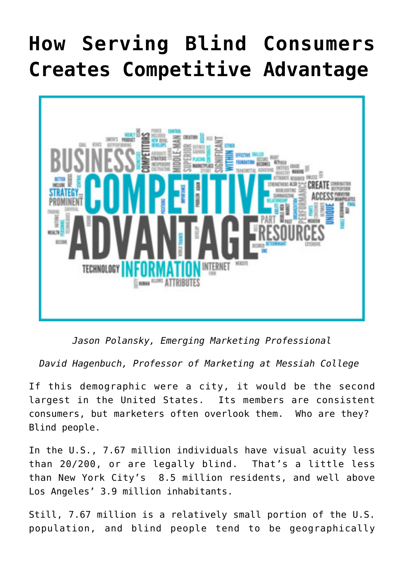## **[How Serving Blind Consumers](https://www.commpro.biz/how-serving-blind-consumers-creates-competitive-advantage/) [Creates Competitive Advantage](https://www.commpro.biz/how-serving-blind-consumers-creates-competitive-advantage/)**



*Jason Polansky, Emerging Marketing Professional*

*David Hagenbuch, Professor of Marketing at Messiah College*

If this demographic were a city, it would be the second largest in the United States. Its members are consistent consumers, but [marketers](https://www.commpro.biz/marketing-section/) often overlook them. Who are they? Blind people.

In the U.S., [7.67 million individuals](https://www.nfb.org/resources/blindness-statistics) have visual acuity less than 20/200, or are legally blind. That's [a little less](https://www.moving.com/tips/the-top-10-largest-us-cities-by-population/) [than](https://www.moving.com/tips/the-top-10-largest-us-cities-by-population/) New York City's 8.5 million residents, and well above Los Angeles' 3.9 million inhabitants.

Still, 7.67 million is a relatively small portion of the U.S. population, and blind people tend to be geographically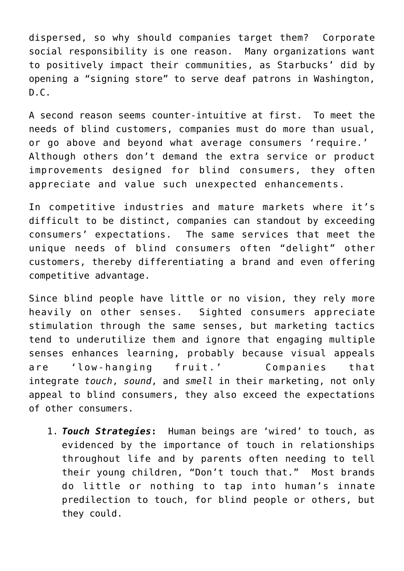dispersed, so why should companies target them? Corporate social responsibility is one reason. Many organizations want to positively impact their communities, as Starbucks' did by opening a ["signing store"](https://fortune.com/2018/10/23/starbucks-sign-language-signing-store) to serve deaf patrons in Washington,  $D.C.$ 

A second reason seems counter-intuitive at first. To meet the needs of blind customers, companies must do more than usual, or go above and beyond what average consumers 'require.' Although others don't demand the extra service or product improvements designed for blind consumers, they often appreciate and value such unexpected enhancements.

In competitive industries and mature markets where it's difficult to be distinct, companies can standout by exceeding consumers' expectations. The same services that meet the unique needs of blind consumers often "[delight](https://www.sciencedirect.com/science/article/abs/pii/S002243599790021X)" other customers, thereby differentiating a brand and even offering competitive advantage.

Since blind people have little or no vision, they rely more heavily on other senses. Sighted consumers appreciate stimulation through the same senses, but marketing tactics tend to underutilize them and ignore that [engaging multiple](https://books.google.com/books?hl=en&lr=&id=2ofyNyJ3le4C&oi=fnd&pg=PA183&dq=intersensory+redundancy&ots=zGtr_MFoJB&sig=x-utYu0D7wJiD9YTr5hoAknWUNE#v=onepage&q=intersensory%20redundancy&f=false) [senses enhances learning](https://books.google.com/books?hl=en&lr=&id=2ofyNyJ3le4C&oi=fnd&pg=PA183&dq=intersensory+redundancy&ots=zGtr_MFoJB&sig=x-utYu0D7wJiD9YTr5hoAknWUNE#v=onepage&q=intersensory%20redundancy&f=false), probably because visual appeals are 'low-hanging fruit.' Companies that integrate *touch*, *sound*, and *smell* in their marketing, not only appeal to blind consumers, they also exceed the expectations of other consumers.

1. *Touch Strategies***:** Human beings are 'wired' to touch, as evidenced by the importance of touch in relationships throughout life and by parents often needing to tell their young children, "Don't touch that." Most brands do little or nothing to tap into human's innate predilection to touch, for blind people or others, but they could.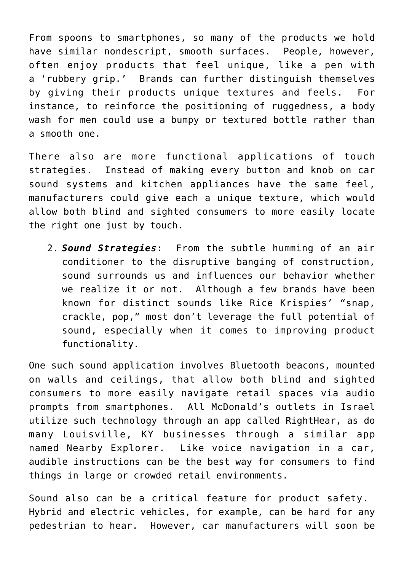From spoons to smartphones, so many of the products we hold have similar nondescript, smooth surfaces. People, however, often enjoy products that feel unique, like a pen with a 'rubbery grip.' Brands can further distinguish themselves by giving their products unique textures and feels. For instance, to reinforce the positioning of ruggedness, a body wash for men could use a bumpy or textured bottle rather than a smooth one.

There also are more functional applications of touch strategies. Instead of making every button and knob on car sound systems and kitchen appliances have the same feel, manufacturers could give each a unique texture, which would allow both blind and sighted consumers to more easily locate the right one just by touch.

2. *Sound Strategies***:** From the subtle humming of an air conditioner to the disruptive banging of construction, sound surrounds us and influences our behavior whether we realize it or not. Although a few brands have been known for distinct sounds like Rice Krispies' "snap, crackle, pop," most don't leverage the full potential of sound, especially when it comes to improving product functionality.

One such sound application involves Bluetooth beacons, mounted on walls and ceilings, that allow both blind and sighted consumers to more easily navigate retail spaces via audio prompts from smartphones. All McDonald's outlets in Israel utilize such technology through an app called [RightHear](https://www.fromthegrapevine.com/innovation/mcdonalds-food-chain-israel-installs-system-to-help-blind-people), as do many Louisville, KY businesses through a similar app named [Nearby Explorer.](https://louisvilleky.gov/news/city-partners-american-printing-house-blind-expand-sensor-program) Like voice navigation in a car, audible instructions can be the best way for consumers to find things in large or crowded retail environments.

Sound also can be a critical feature for product safety. Hybrid and electric vehicles, for example, can be hard for any pedestrian to hear. However, car manufacturers will soon be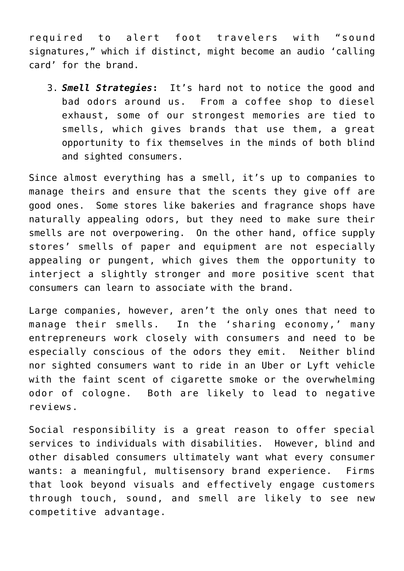required to alert foot travelers with "[sound](https://mashable.com/article/electric-vehicles-noise-sound-requirements/) [signatures,](https://mashable.com/article/electric-vehicles-noise-sound-requirements/)" which if distinct, might become an audio 'calling card' for the brand.

3. *Smell Strategies***:** It's hard not to notice the good and bad odors around us. From a coffee shop to diesel exhaust, some of our [strongest memories are tied to](https://www.psychologytoday.com/us/blog/brain-babble/201501/smells-ring-bells-how-smell-triggers-memories-and-emotions) [smells,](https://www.psychologytoday.com/us/blog/brain-babble/201501/smells-ring-bells-how-smell-triggers-memories-and-emotions) which gives brands that use them, a great opportunity to fix themselves in the minds of both blind and sighted consumers.

Since almost everything has a smell, it's up to companies to manage theirs and ensure that the scents they give off are good ones. Some stores like bakeries and fragrance shops have naturally appealing odors, but they need to make sure their smells are not overpowering. On the other hand, office supply stores' smells of paper and equipment are not especially appealing or pungent, which gives them the opportunity to interject a slightly stronger and more positive scent that consumers can learn to associate with the brand.

Large companies, however, aren't the only ones that need to manage their smells. In the 'sharing economy,' many entrepreneurs work closely with consumers and need to be especially conscious of the odors they emit. Neither blind nor sighted consumers want to ride in an Uber or Lyft vehicle with the faint scent of cigarette smoke or the overwhelming odor of cologne. Both are likely to lead to negative reviews.

Social responsibility is a great reason to offer special services to individuals with disabilities. However, blind and other disabled consumers ultimately want what every consumer wants: a meaningful, multisensory brand experience. Firms that look beyond visuals and effectively engage customers through touch, sound, and smell are likely to see new competitive advantage.